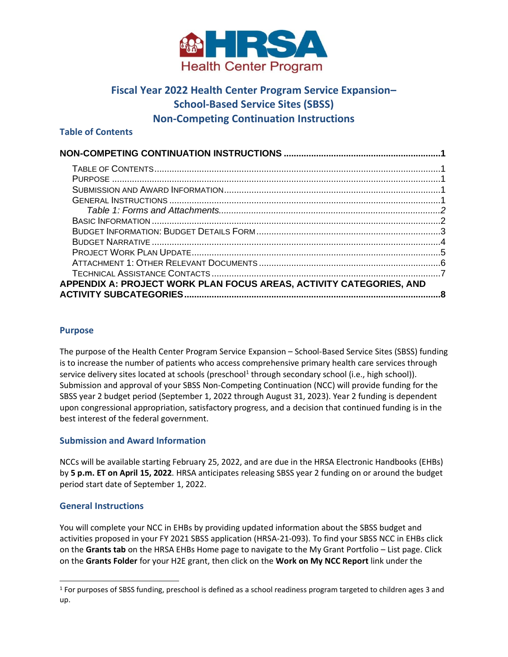<span id="page-0-0"></span>

# **Fiscal Year 2022 Health Center Program Service Expansion– School-Based Service Sites (SBSS) Non-Competing Continuation Instructions**

#### <span id="page-0-1"></span>**Table of Contents**

| APPENDIX A: PROJECT WORK PLAN FOCUS AREAS, ACTIVITY CATEGORIES, AND |  |
|---------------------------------------------------------------------|--|
|                                                                     |  |

### <span id="page-0-2"></span>**Purpose**

The purpose of the Health Center Program Service Expansion – School-Based Service Sites (SBSS) funding is to increase the number of patients who access comprehensive primary health care services through service delivery sites located at schools (preschool<sup>1</sup> through secondary school (i.e., high school)). Submission and approval of your SBSS Non-Competing Continuation (NCC) will provide funding for the SBSS year 2 budget period (September 1, 2022 through August 31, 2023). Year 2 funding is dependent upon congressional appropriation, satisfactory progress, and a decision that continued funding is in the best interest of the federal government.

## <span id="page-0-3"></span>**Submission and Award Information**

NCCs will be available starting February 25, 2022, and are due in the HRSA Electronic Handbooks (EHBs) by **5 p.m. ET on April 15, 2022**. HRSA anticipates releasing SBSS year 2 funding on or around the budget period start date of September 1, 2022.

#### <span id="page-0-4"></span>**General Instructions**

You will complete your NCC in EHBs by providing updated information about the SBSS budget and activities proposed in your FY 2021 SBSS application (HRSA-21-093). To find your SBSS NCC in EHBs click on the **Grants tab** on the HRSA EHBs Home page to navigate to the My Grant Portfolio – List page. Click on the **Grants Folder** for your H2E grant, then click on the **Work on My NCC Report** link under the

<sup>1</sup> For purposes of SBSS funding, preschool is defined as a school readiness program targeted to children ages 3 and up.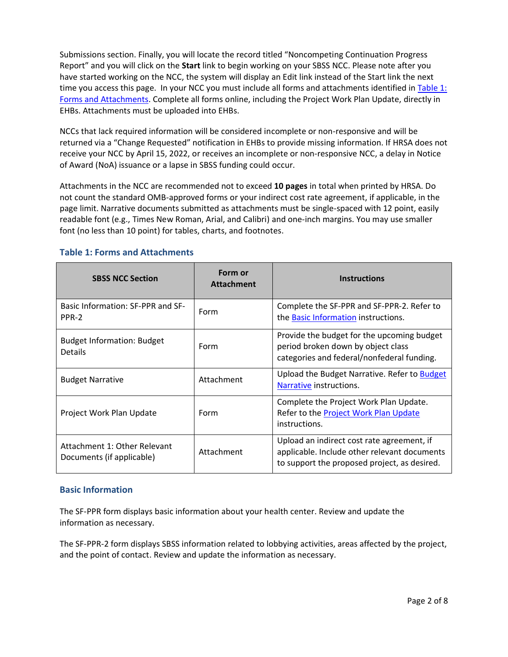Submissions section. Finally, you will locate the record titled "Noncompeting Continuation Progress Report" and you will click on the **Start** link to begin working on your SBSS NCC. Please note after you have started working on the NCC, the system will display an Edit link instead of the Start link the next time you access this page. In your NCC you must include all forms and attachments identified in Table 1: [Forms and Attachments](#page-1-0). Complete all forms online, including the Project Work Plan Update, directly in EHBs. Attachments must be uploaded into EHBs.

NCCs that lack required information will be considered incomplete or non-responsive and will be returned via a "Change Requested" notification in EHBs to provide missing information. If HRSA does not receive your NCC by April 15, 2022, or receives an incomplete or non-responsive NCC, a delay in Notice of Award (NoA) issuance or a lapse in SBSS funding could occur.

Attachments in the NCC are recommended not to exceed **10 pages** in total when printed by HRSA. Do not count the standard OMB-approved forms or your indirect cost rate agreement, if applicable, in the page limit. Narrative documents submitted as attachments must be single-spaced with 12 point, easily readable font (e.g., Times New Roman, Arial, and Calibri) and one-inch margins. You may use smaller font (no less than 10 point) for tables, charts, and footnotes.

| <b>SBSS NCC Section</b>                                   | Form or<br><b>Attachment</b> | <b>Instructions</b>                                                                                                                        |
|-----------------------------------------------------------|------------------------------|--------------------------------------------------------------------------------------------------------------------------------------------|
| Basic Information: SF-PPR and SF-<br>PPR-2                | Form                         | Complete the SF-PPR and SF-PPR-2. Refer to<br>the Basic Information instructions.                                                          |
| <b>Budget Information: Budget</b><br><b>Details</b>       | Form                         | Provide the budget for the upcoming budget<br>period broken down by object class<br>categories and federal/nonfederal funding.             |
| <b>Budget Narrative</b>                                   | Attachment                   | Upload the Budget Narrative. Refer to Budget<br>Narrative instructions.                                                                    |
| Project Work Plan Update                                  | Form                         | Complete the Project Work Plan Update.<br>Refer to the Project Work Plan Update<br>instructions.                                           |
| Attachment 1: Other Relevant<br>Documents (if applicable) | Attachment                   | Upload an indirect cost rate agreement, if<br>applicable. Include other relevant documents<br>to support the proposed project, as desired. |

## <span id="page-1-0"></span>**Table 1: Forms and Attachments**

## <span id="page-1-1"></span>**Basic Information**

The SF-PPR form displays basic information about your health center. Review and update the information as necessary.

The SF-PPR-2 form displays SBSS information related to lobbying activities, areas affected by the project, and the point of contact. Review and update the information as necessary.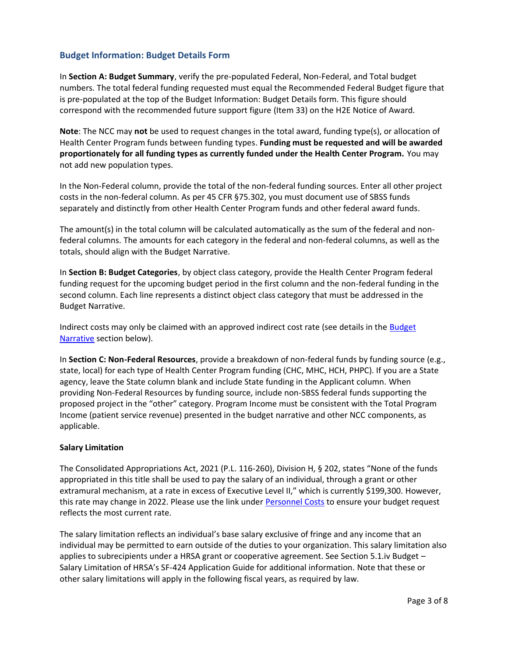## <span id="page-2-0"></span>**Budget Information: Budget Details Form**

In **Section A: Budget Summary**, verify the pre-populated Federal, Non-Federal, and Total budget numbers. The total federal funding requested must equal the Recommended Federal Budget figure that is pre-populated at the top of the Budget Information: Budget Details form. This figure should correspond with the recommended future support figure (Item 33) on the H2E Notice of Award.

**Note**: The NCC may **not** be used to request changes in the total award, funding type(s), or allocation of Health Center Program funds between funding types. **Funding must be requested and will be awarded proportionately for all funding types as currently funded under the Health Center Program.** You may not add new population types.

In the Non-Federal column, provide the total of the non-federal funding sources. Enter all other project costs in the non-federal column. As per 45 CFR §75.302, you must document use of SBSS funds separately and distinctly from other Health Center Program funds and other federal award funds.

The amount(s) in the total column will be calculated automatically as the sum of the federal and nonfederal columns. The amounts for each category in the federal and non-federal columns, as well as the totals, should align with the Budget Narrative.

In **Section B: Budget Categories**, by object class category, provide the Health Center Program federal funding request for the upcoming budget period in the first column and the non-federal funding in the second column. Each line represents a distinct object class category that must be addressed in the Budget Narrative.

Indirect costs may only be claimed with an approved indirect cost rate (see details in the [Budget](#page-3-1)  [Narrative](#page-3-1) section below).

In **Section C: Non-Federal Resources**, provide a breakdown of non-federal funds by funding source (e.g., state, local) for each type of Health Center Program funding (CHC, MHC, HCH, PHPC). If you are a State agency, leave the State column blank and include State funding in the Applicant column. When providing Non-Federal Resources by funding source, include non-SBSS federal funds supporting the proposed project in the "other" category. Program Income must be consistent with the Total Program Income (patient service revenue) presented in the budget narrative and other NCC components, as applicable.

#### **Salary Limitation**

The Consolidated Appropriations Act, 2021 (P.L. 116-260), Division H, § 202, states "None of the funds appropriated in this title shall be used to pay the salary of an individual, through a grant or other extramural mechanism, at a rate in excess of Executive Level II," which is currently \$199,300. However, this rate may change in 2022. Please use the link under [Personnel Costs](#page-3-2) to ensure your budget request reflects the most current rate.

The salary limitation reflects an individual's base salary exclusive of fringe and any income that an individual may be permitted to earn outside of the duties to your organization. This salary limitation also applies to subrecipients under a HRSA grant or cooperative agreement. See Section 5.1.iv Budget – Salary Limitation of HRSA's SF-424 Application Guide for additional information. Note that these or other salary limitations will apply in the following fiscal years, as required by law.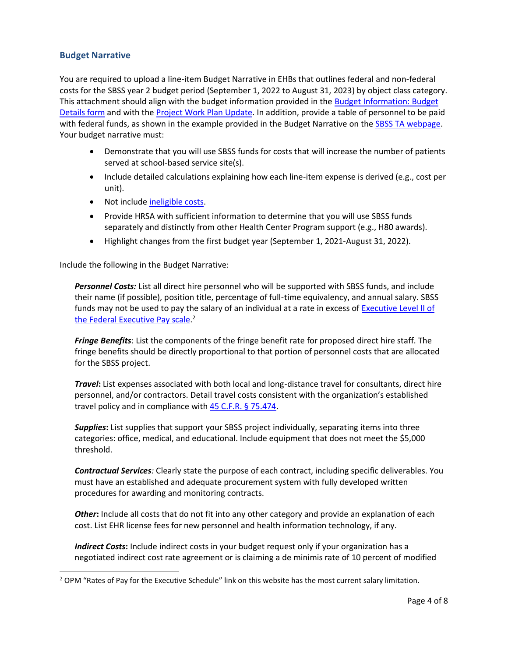### <span id="page-3-0"></span>**Budget Narrative**

You are required to upload a line-item Budget Narrative in EHBs that outlines federal and non-federal costs for the SBSS year 2 budget period (September 1, 2022 to August 31, 2023) by object class category. This attachment should align with the budget information provided in the [Budget Information: Budget](#page-2-0)  [Details form](#page-2-0) and with the [Project Work Plan Update.](#page-4-0) In addition, provide a table of personnel to be paid with federal funds, as shown in the example provided in the Budget Narrative on th[e SBSS TA webpage](https://bphc.hrsa.gov/program-opportunities/school-based-service-expansion). Your budget narrative must:

- Demonstrate that you will use SBSS funds for costs that will increase the number of patients served at school-based service site(s).
- Include detailed calculations explaining how each line-item expense is derived (e.g., cost per unit).
- Not include [ineligible costs.](#page-4-1)
- Provide HRSA with sufficient information to determine that you will use SBSS funds separately and distinctly from other Health Center Program support (e.g., H80 awards).
- Highlight changes from the first budget year (September 1, 2021-August 31, 2022).

Include the following in the Budget Narrative:

<span id="page-3-2"></span>*Personnel Costs:* List all direct hire personnel who will be supported with SBSS funds, and include their name (if possible), position title, percentage of full-time equivalency, and annual salary. SBSS funds may not be used to pay the salary of an individual at a rate in excess of [Executive Level II of](https://www.opm.gov/policy-data-oversight/pay-leave/salaries-wages/)  [the Federal Executive Pay scale.](https://www.opm.gov/policy-data-oversight/pay-leave/salaries-wages/) 2

*Fringe Benefits*: List the components of the fringe benefit rate for proposed direct hire staff. The fringe benefits should be directly proportional to that portion of personnel costs that are allocated for the SBSS project.

*Travel***:** List expenses associated with both local and long-distance travel for consultants, direct hire personnel, and/or contractors. Detail travel costs consistent with the organization's established travel policy and in compliance with [45 C.F.R. § 75.474](https://www.ecfr.gov/cgi-bin/text-idx?SID=23166549941b463167eca9557433aa79&mc=true&node=se45.1.75_1474&rgn=div8).

*Supplies***:** List supplies that support your SBSS project individually, separating items into three categories: office, medical, and educational. Include equipment that does not meet the \$5,000 threshold.

*Contractual Services:* Clearly state the purpose of each contract, including specific deliverables. You must have an established and adequate procurement system with fully developed written procedures for awarding and monitoring contracts.

*Other***:** Include all costs that do not fit into any other category and provide an explanation of each cost. List EHR license fees for new personnel and health information technology, if any.

<span id="page-3-1"></span>*Indirect Costs***:** Include indirect costs in your budget request only if your organization has a negotiated indirect cost rate agreement or is claiming a de minimis rate of 10 percent of modified

 $2$  OPM "Rates of Pay for the Executive Schedule" link on this website has the most current salary limitation.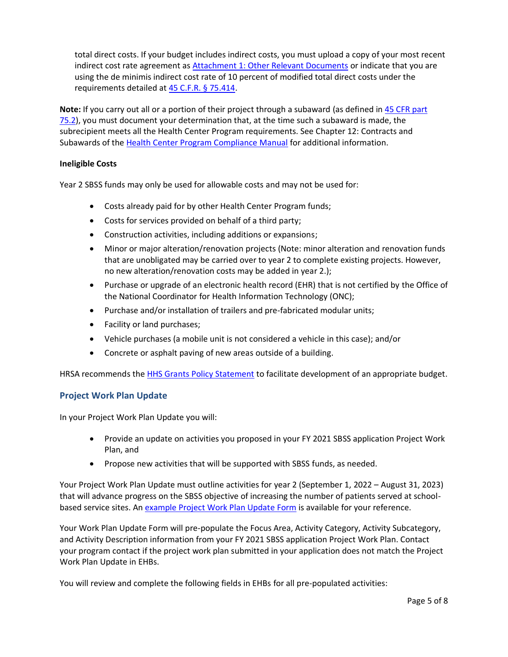total direct costs. If your budget includes indirect costs, you must upload a copy of your most recent indirect cost rate agreement as [Attachment 1: Other Relevant Documents](#page-5-1) or indicate that you are using the de minimis indirect cost rate of 10 percent of modified total direct costs under the requirements detailed at [45 C.F.R. § 75.414.](https://www.govinfo.gov/app/details/CFR-2015-title45-vol1/CFR-2015-title45-vol1-sec75-414)

**Note:** If you carry out all or a portion of their project through a subaward (as defined in [45 CFR part](https://www.ecfr.gov/current/title-45/subtitle-A/subchapter-A/part-75/subpart-A/section-75.2)  [75.2\)](https://www.ecfr.gov/current/title-45/subtitle-A/subchapter-A/part-75/subpart-A/section-75.2), you must document your determination that, at the time such a subaward is made, the subrecipient meets all the Health Center Program requirements. See Chapter 12: Contracts and Subawards of the [Health Center Program Compliance Manual](https://protect2.fireeye.com/v1/url?k=4bcbcba4-1450f370-4bcbfa9b-0cc47a6d17cc-1eed52247e29a86d&q=1&e=eeec7751-629b-43a8-8aaa-369175827bbb&u=https%3A%2F%2Fbphc.hrsa.gov%2Fprogramrequirements%2Fcompliancemanual%2Findex.html) for additional information.

#### **Ineligible Costs**

Year 2 SBSS funds may only be used for allowable costs and may not be used for:

- <span id="page-4-1"></span>• Costs already paid for by other Health Center Program funds;
- Costs for services provided on behalf of a third party;
- Construction activities, including additions or expansions;
- Minor or major alteration/renovation projects (Note: minor alteration and renovation funds that are unobligated may be carried over to year 2 to complete existing projects. However, no new alteration/renovation costs may be added in year 2.);
- Purchase or upgrade of an electronic health record (EHR) that is not certified by the Office of the National Coordinator for Health Information Technology (ONC);
- Purchase and/or installation of trailers and pre-fabricated modular units;
- Facility or land purchases;
- Vehicle purchases (a mobile unit is not considered a vehicle in this case); and/or
- Concrete or asphalt paving of new areas outside of a building.

HRSA recommends the **HHS Grants Policy Statement to facilitate development of an appropriate budget.** 

#### <span id="page-4-0"></span>**Project Work Plan Update**

In your Project Work Plan Update you will:

- Provide an update on activities you proposed in your FY 2021 SBSS application Project Work Plan, and
- Propose new activities that will be supported with SBSS funds, as needed.

Your Project Work Plan Update must outline activities for year 2 (September 1, 2022 – August 31, 2023) that will advance progress on the SBSS objective of increasing the number of patients served at schoolbased service sites. An [example Project Work Plan Update Form i](https://bphc.hrsa.gov/program-opportunities/school-based-service-expansion)s available for your reference.

Your Work Plan Update Form will pre-populate the Focus Area, Activity Category, Activity Subcategory, and Activity Description information from your FY 2021 SBSS application Project Work Plan. Contact your program contact if the project work plan submitted in your application does not match the Project Work Plan Update in EHBs.

You will review and complete the following fields in EHBs for all pre-populated activities: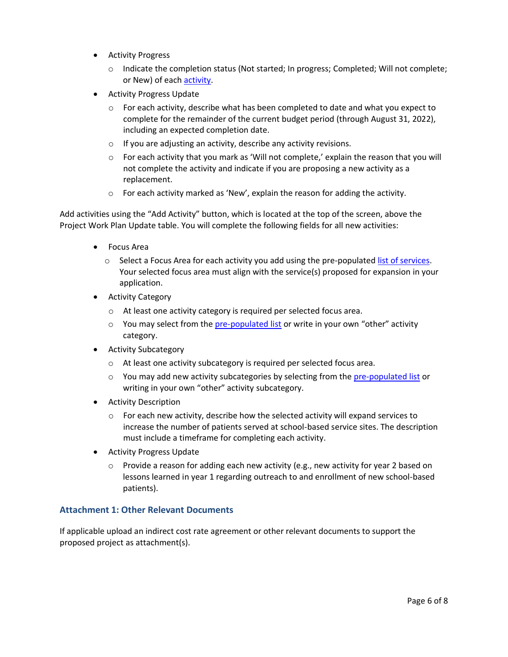- **Activity Progress** 
	- Indicate the completion status (Not started; In progress; Completed; Will not complete; or New) of each [activity.](#page-7-1)
- Activity Progress Update
	- For each activity, describe what has been completed to date and what you expect to complete for the remainder of the current budget period (through August 31, 2022), including an expected completion date.
	- If you are adjusting an activity, describe any activity revisions.
	- For each activity that you mark as 'Will not complete,' explain the reason that you will not complete the activity and indicate if you are proposing a new activity as a replacement.
	- For each activity marked as 'New', explain the reason for adding the activity.

Add activities using the "Add Activity" button, which is located at the top of the screen, above the Project Work Plan Update table. You will complete the following fields for all new activities:

- Focus Area
	- Select a Focus Area for each activity you add using the pre-populated [list of services.](#page-7-2) Your selected focus area must align with the service(s) proposed for expansion in your application.
- Activity Category
	- At least one activity category is required per selected focus area.
	- You may select from the [pre-populated list o](#page-7-3)r write in your own "other" activity category.
- Activity Subcategory
	- At least one activity subcategory is required per selected focus area.
	- You may add new activity subcategories by selecting from th[e pre-populated list o](#page-7-3)r writing in your own "other" activity subcategory.
- Activity Description
	- $\circ$  For each new activity, describe how the selected activity will expand services to increase the number of patients served at school-based service sites. The description must include a timeframe for completing each activity.
- <span id="page-5-1"></span>• Activity Progress Update
	- Provide a reason for adding each new activity (e.g., new activity for year 2 based on lessons learned in year 1 regarding outreach to and enrollment of new school-based patients).

#### <span id="page-5-0"></span>**Attachment 1: Other Relevant Documents**

If applicable upload an indirect cost rate agreement or other relevant documents to support the proposed project as attachment(s).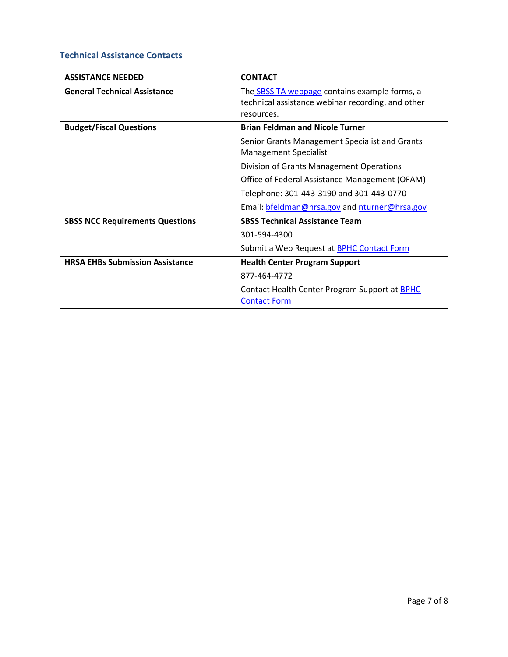## <span id="page-6-0"></span>**Technical Assistance Contacts**

| <b>ASSISTANCE NEEDED</b>               | <b>CONTACT</b>                                                                                                          |  |
|----------------------------------------|-------------------------------------------------------------------------------------------------------------------------|--|
| <b>General Technical Assistance</b>    | The <b>SBSS TA webpage</b> contains example forms, a<br>technical assistance webinar recording, and other<br>resources. |  |
| <b>Budget/Fiscal Questions</b>         | <b>Brian Feldman and Nicole Turner</b>                                                                                  |  |
|                                        | Senior Grants Management Specialist and Grants<br><b>Management Specialist</b>                                          |  |
|                                        | Division of Grants Management Operations                                                                                |  |
|                                        | Office of Federal Assistance Management (OFAM)                                                                          |  |
|                                        | Telephone: 301-443-3190 and 301-443-0770                                                                                |  |
|                                        | Email: bfeldman@hrsa.gov and nturner@hrsa.gov                                                                           |  |
| <b>SBSS NCC Requirements Questions</b> | <b>SBSS Technical Assistance Team</b>                                                                                   |  |
|                                        | 301-594-4300                                                                                                            |  |
|                                        | Submit a Web Request at <b>BPHC Contact Form</b>                                                                        |  |
| <b>HRSA EHBs Submission Assistance</b> | <b>Health Center Program Support</b>                                                                                    |  |
|                                        | 877-464-4772                                                                                                            |  |
|                                        | Contact Health Center Program Support at BPHC<br><b>Contact Form</b>                                                    |  |